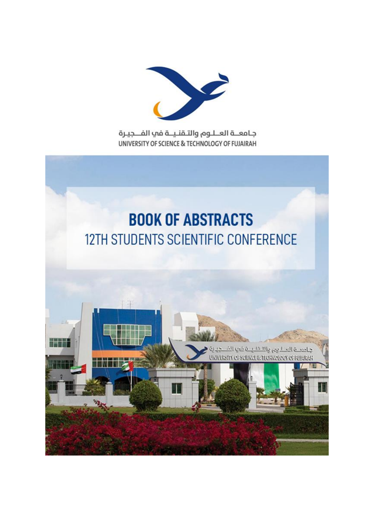

جامعــة العــلـوم والتـقنـيــة في الفـــجيـرة UNIVERSITY OF SCIENCE & TECHNOLOGY OF FUJAIRAH

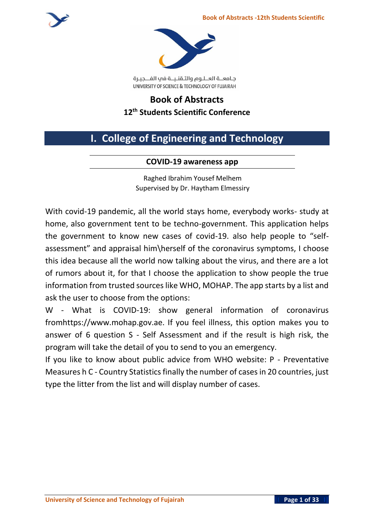

جامعــة العــلـوم والتـقنـيــة في الفـــجيـرة UNIVERSITY OF SCIENCE & TECHNOLOGY OF FUJAIRAH

# **Book of Abstracts 12 th Students Scientific Conference**

# **I. College of Engineering and Technology**

# **COVID-19 awareness app**

Raghed Ibrahim Yousef Melhem Supervised by Dr. Haytham Elmessiry

With covid-19 pandemic, all the world stays home, everybody works- study at home, also government tent to be techno-government. This application helps the government to know new cases of covid-19. also help people to "selfassessment" and appraisal him\herself of the coronavirus symptoms, I choose this idea because all the world now talking about the virus, and there are a lot of rumors about it, for that I choose the application to show people the true information from trusted sources like WHO, MOHAP. The app starts by a list and ask the user to choose from the options:

W - What is COVID-19: show general information of coronavirus fromhttps://www.mohap.gov.ae. If you feel illness, this option makes you to answer of 6 question S - Self Assessment and if the result is high risk, the program will take the detail of you to send to you an emergency.

If you like to know about public advice from WHO website: P - Preventative Measures h C - Country Statistics finally the number of cases in 20 countries, just type the litter from the list and will display number of cases.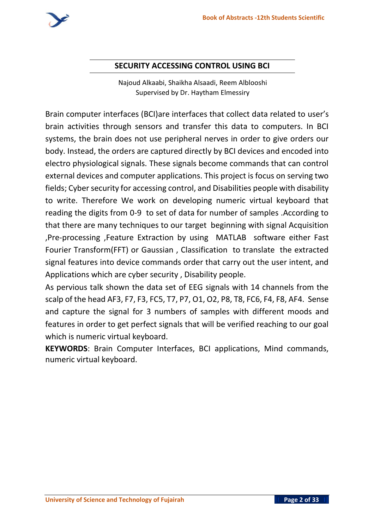

# **SECURITY ACCESSING CONTROL USING BCI**

Najoud Alkaabi, Shaikha Alsaadi, Reem Alblooshi Supervised by Dr. Haytham Elmessiry

Brain computer interfaces (BCI)are interfaces that collect data related to user's brain activities through sensors and transfer this data to computers. In BCI systems, the brain does not use peripheral nerves in order to give orders our body. Instead, the orders are captured directly by BCI devices and encoded into electro physiological signals. These signals become commands that can control external devices and computer applications. This project is focus on serving two fields; Cyber security for accessing control, and Disabilities people with disability to write. Therefore We work on developing numeric virtual keyboard that reading the digits from 0-9 to set of data for number of samples .According to that there are many techniques to our target beginning with signal Acquisition ,Pre-processing ,Feature Extraction by using MATLAB software either Fast Fourier Transform(FFT) or Gaussian , Classification to translate the extracted signal features into device commands order that carry out the user intent, and Applications which are cyber security , Disability people.

As pervious talk shown the data set of EEG signals with 14 channels from the scalp of the head AF3, F7, F3, FC5, T7, P7, O1, O2, P8, T8, FC6, F4, F8, AF4. Sense and capture the signal for 3 numbers of samples with different moods and features in order to get perfect signals that will be verified reaching to our goal which is numeric virtual keyboard.

**KEYWORDS**: Brain Computer Interfaces, BCI applications, Mind commands, numeric virtual keyboard.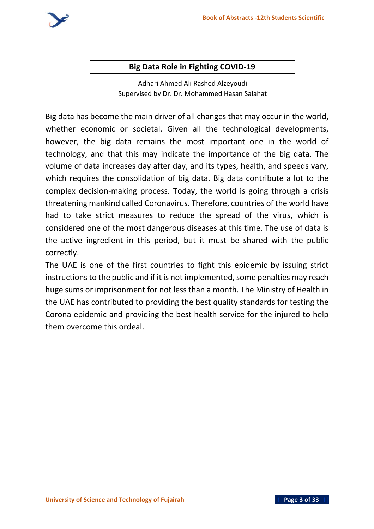

### **Big Data Role in Fighting COVID-19**

Adhari Ahmed Ali Rashed Alzeyoudi Supervised by Dr. Dr. Mohammed Hasan Salahat

Big data has become the main driver of all changes that may occur in the world, whether economic or societal. Given all the technological developments, however, the big data remains the most important one in the world of technology, and that this may indicate the importance of the big data. The volume of data increases day after day, and its types, health, and speeds vary, which requires the consolidation of big data. Big data contribute a lot to the complex decision-making process. Today, the world is going through a crisis threatening mankind called Coronavirus. Therefore, countries of the world have had to take strict measures to reduce the spread of the virus, which is considered one of the most dangerous diseases at this time. The use of data is the active ingredient in this period, but it must be shared with the public correctly.

The UAE is one of the first countries to fight this epidemic by issuing strict instructions to the public and if it is not implemented, some penalties may reach huge sums or imprisonment for not less than a month. The Ministry of Health in the UAE has contributed to providing the best quality standards for testing the Corona epidemic and providing the best health service for the injured to help them overcome this ordeal.

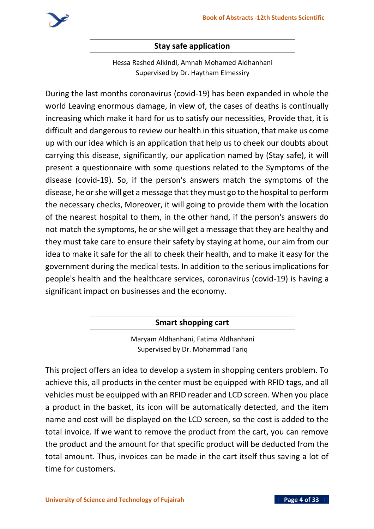

## **Stay safe application**

Hessa Rashed Alkindi, Amnah Mohamed Aldhanhani Supervised by Dr. Haytham Elmessiry

During the last months coronavirus (covid-19) has been expanded in whole the world Leaving enormous damage, in view of, the cases of deaths is continually increasing which make it hard for us to satisfy our necessities, Provide that, it is difficult and dangerous to review our health in this situation, that make us come up with our idea which is an application that help us to cheek our doubts about carrying this disease, significantly, our application named by (Stay safe), it will present a questionnaire with some questions related to the Symptoms of the disease (covid-19). So, if the person's answers match the symptoms of the disease, he or she will get a message that they must go to the hospital to perform the necessary checks, Moreover, it will going to provide them with the location of the nearest hospital to them, in the other hand, if the person's answers do not match the symptoms, he or she will get a message that they are healthy and they must take care to ensure their safety by staying at home, our aim from our idea to make it safe for the all to cheek their health, and to make it easy for the government during the medical tests. In addition to the serious implications for people's health and the healthcare services, coronavirus (covid-19) is having a significant impact on businesses and the economy.

**Smart shopping cart**

Maryam Aldhanhani, Fatima Aldhanhani Supervised by Dr. Mohammad Tariq

This project offers an idea to develop a system in shopping centers problem. To achieve this, all products in the center must be equipped with RFID tags, and all vehicles must be equipped with an RFID reader and LCD screen. When you place a product in the basket, its icon will be automatically detected, and the item name and cost will be displayed on the LCD screen, so the cost is added to the total invoice. If we want to remove the product from the cart, you can remove the product and the amount for that specific product will be deducted from the total amount. Thus, invoices can be made in the cart itself thus saving a lot of time for customers.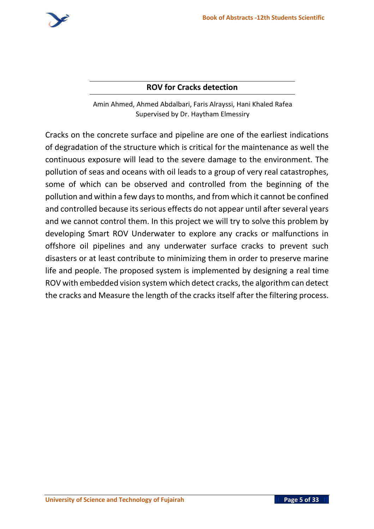

# **ROV for Cracks detection**

Amin Ahmed, Ahmed Abdalbari, Faris Alrayssi, Hani Khaled Rafea Supervised by Dr. Haytham Elmessiry

Cracks on the concrete surface and pipeline are one of the earliest indications of degradation of the structure which is critical for the maintenance as well the continuous exposure will lead to the severe damage to the environment. The pollution of seas and oceans with oil leads to a group of very real catastrophes, some of which can be observed and controlled from the beginning of the pollution and within a few days to months, and from which it cannot be confined and controlled because its serious effects do not appear until after several years and we cannot control them. In this project we will try to solve this problem by developing Smart ROV Underwater to explore any cracks or malfunctions in offshore oil pipelines and any underwater surface cracks to prevent such disasters or at least contribute to minimizing them in order to preserve marine life and people. The proposed system is implemented by designing a real time ROV with embedded vision system which detect cracks, the algorithm can detect the cracks and Measure the length of the cracks itself after the filtering process.

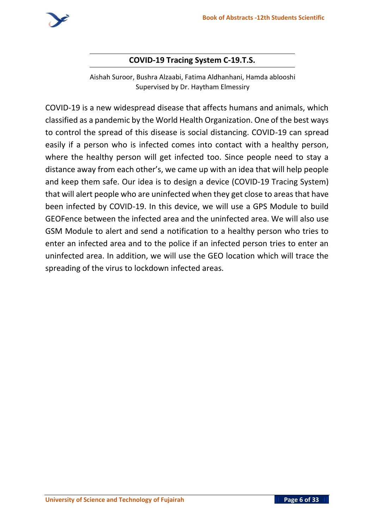

## **COVID-19 Tracing System C-19.T.S.**

Aishah Suroor, Bushra Alzaabi, Fatima Aldhanhani, Hamda ablooshi Supervised by Dr. Haytham Elmessiry

COVID-19 is a new widespread disease that affects humans and animals, which classified as a pandemic by the World Health Organization. One of the best ways to control the spread of this disease is social distancing. COVID-19 can spread easily if a person who is infected comes into contact with a healthy person, where the healthy person will get infected too. Since people need to stay a distance away from each other's, we came up with an idea that will help people and keep them safe. Our idea is to design a device (COVID-19 Tracing System) that will alert people who are uninfected when they get close to areas that have been infected by COVID-19. In this device, we will use a GPS Module to build GEOFence between the infected area and the uninfected area. We will also use GSM Module to alert and send a notification to a healthy person who tries to enter an infected area and to the police if an infected person tries to enter an uninfected area. In addition, we will use the GEO location which will trace the spreading of the virus to lockdown infected areas.

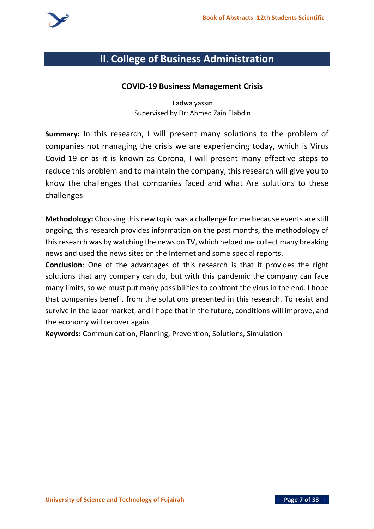

# **II. College of Business Administration**

#### **COVID-19 Business Management Crisis**

Fadwa yassin Supervised by Dr: Ahmed Zain Elabdin

**Summary:** In this research, I will present many solutions to the problem of companies not managing the crisis we are experiencing today, which is Virus Covid-19 or as it is known as Corona, I will present many effective steps to reduce this problem and to maintain the company, this research will give you to know the challenges that companies faced and what Are solutions to these challenges

**Methodology:** Choosing this new topic was a challenge for me because events are still ongoing, this research provides information on the past months, the methodology of this research was by watching the news on TV, which helped me collect many breaking news and used the news sites on the Internet and some special reports .

**Conclusion**: One of the advantages of this research is that it provides the right solutions that any company can do, but with this pandemic the company can face many limits, so we must put many possibilities to confront the virus in the end. I hope that companies benefit from the solutions presented in this research. To resist and survive in the labor market, and I hope that in the future, conditions will improve, and the economy will recover again

**Keywords:** Communication, Planning, Prevention, Solutions, Simulation

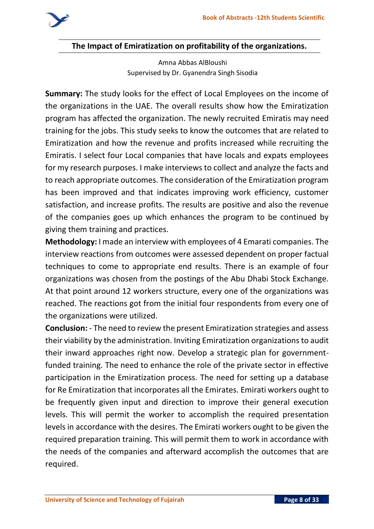

**The Impact of Emiratization on profitability of the organizations.**

Amna Abbas AlBloushi Supervised by Dr. Gyanendra Singh Sisodia

**Summary:** The study looks for the effect of Local Employees on the income of the organizations in the UAE. The overall results show how the Emiratization program has affected the organization. The newly recruited Emiratis may need training for the jobs. This study seeks to know the outcomes that are related to Emiratization and how the revenue and profits increased while recruiting the Emiratis. I select four Local companies that have locals and expats employees for my research purposes. I make interviews to collect and analyze the facts and to reach appropriate outcomes. The consideration of the Emiratization program has been improved and that indicates improving work efficiency, customer satisfaction, and increase profits. The results are positive and also the revenue of the companies goes up which enhances the program to be continued by giving them training and practices.

**Methodology:** I made an interview with employees of 4 Emarati companies. The interview reactions from outcomes were assessed dependent on proper factual techniques to come to appropriate end results. There is an example of four organizations was chosen from the postings of the Abu Dhabi Stock Exchange. At that point around 12 workers structure, every one of the organizations was reached. The reactions got from the initial four respondents from every one of the organizations were utilized.

**Conclusion:** - The need to review the present Emiratization strategies and assess their viability by the administration. Inviting Emiratization organizations to audit their inward approaches right now. Develop a strategic plan for governmentfunded training. The need to enhance the role of the private sector in effective participation in the Emiratization process. The need for setting up a database for Re Emiratization that incorporates all the Emirates. Emirati workers ought to be frequently given input and direction to improve their general execution levels. This will permit the worker to accomplish the required presentation levels in accordance with the desires. The Emirati workers ought to be given the required preparation training. This will permit them to work in accordance with the needs of the companies and afterward accomplish the outcomes that are required.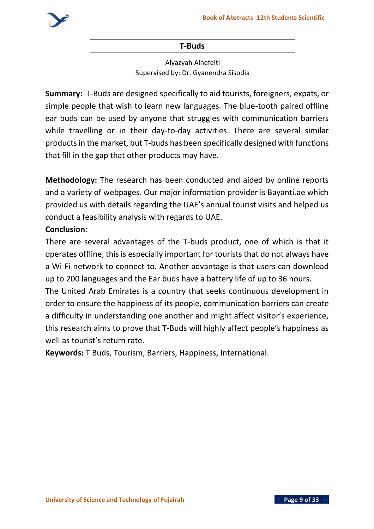

#### **T-Buds**

Alyazyah Alhefeiti Supervised by: Dr. Gyanendra Sisodia

**Summary:** T-Buds are designed specifically to aid tourists, foreigners, expats, or simple people that wish to learn new languages. The blue-tooth paired offline ear buds can be used by anyone that struggles with communication barriers while travelling or in their day-to-day activities. There are several similar products in the market, but T-buds has been specifically designed with functions that fill in the gap that other products may have.

**Methodology:** The research has been conducted and aided by online reports and a variety of webpages. Our major information provider is Bayanti.ae which provided us with details regarding the UAE's annual tourist visits and helped us conduct a feasibility analysis with regards to UAE.

### **Conclusion:**

There are several advantages of the T-buds product, one of which is that it operates offline, this is especially important for tourists that do not always have a Wi-Fi network to connect to. Another advantage is that users can download up to 200 languages and the Ear buds have a battery life of up to 36 hours.

The United Arab Emirates is a country that seeks continuous development in order to ensure the happiness of its people, communication barriers can create a difficulty in understanding one another and might affect visitor's experience, this research aims to prove that T-Buds will highly affect people's happiness as well as tourist's return rate.

**Keywords:** T Buds, Tourism, Barriers, Happiness, International.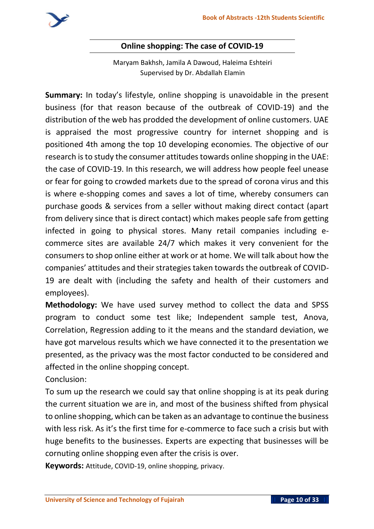

### **Online shopping: The case of COVID-19**

Maryam Bakhsh, Jamila A Dawoud, Haleima Eshteiri Supervised by Dr. Abdallah Elamin

**Summary:** In today's lifestyle, online shopping is unavoidable in the present business (for that reason because of the outbreak of COVID-19) and the distribution of the web has prodded the development of online customers. UAE is appraised the most progressive country for internet shopping and is positioned 4th among the top 10 developing economies. The objective of our research is to study the consumer attitudes towards online shopping in the UAE: the case of COVID-19. In this research, we will address how people feel unease or fear for going to crowded markets due to the spread of corona virus and this is where e-shopping comes and saves a lot of time, whereby consumers can purchase goods & services from a seller without making direct contact (apart from delivery since that is direct contact) which makes people safe from getting infected in going to physical stores. Many retail companies including ecommerce sites are available 24/7 which makes it very convenient for the consumers to shop online either at work or at home. We will talk about how the companies' attitudes and their strategies taken towards the outbreak of COVID-19 are dealt with (including the safety and health of their customers and employees).

**Methodology:** We have used survey method to collect the data and SPSS program to conduct some test like; Independent sample test, Anova, Correlation, Regression adding to it the means and the standard deviation, we have got marvelous results which we have connected it to the presentation we presented, as the privacy was the most factor conducted to be considered and affected in the online shopping concept.

Conclusion:

To sum up the research we could say that online shopping is at its peak during the current situation we are in, and most of the business shifted from physical to online shopping, which can be taken as an advantage to continue the business with less risk. As it's the first time for e-commerce to face such a crisis but with huge benefits to the businesses. Experts are expecting that businesses will be cornuting online shopping even after the crisis is over.

**Keywords:** Attitude, COVID-19, online shopping, privacy.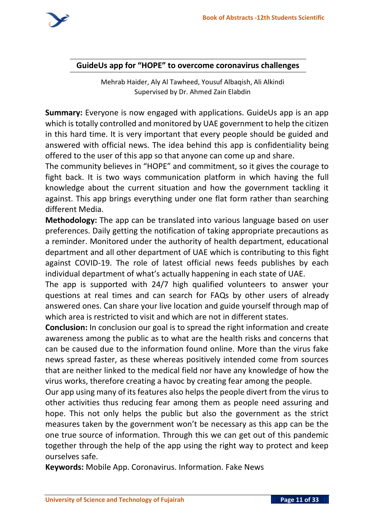

### **GuideUs app for "HOPE" to overcome coronavirus challenges**

Mehrab Haider, Aly Al Tawheed, Yousuf Albaqish, Ali Alkindi Supervised by Dr. Ahmed Zain Elabdin

**Summary:** Everyone is now engaged with applications. GuideUs app is an app which is totally controlled and monitored by UAE government to help the citizen in this hard time. It is very important that every people should be guided and answered with official news. The idea behind this app is confidentiality being offered to the user of this app so that anyone can come up and share.

The community believes in "HOPE" and commitment, so it gives the courage to fight back. It is two ways communication platform in which having the full knowledge about the current situation and how the government tackling it against. This app brings everything under one flat form rather than searching different Media.

**Methodology:** The app can be translated into various language based on user preferences. Daily getting the notification of taking appropriate precautions as a reminder. Monitored under the authority of health department, educational department and all other department of UAE which is contributing to this fight against COVID-19. The role of latest official news feeds publishes by each individual department of what's actually happening in each state of UAE.

The app is supported with 24/7 high qualified volunteers to answer your questions at real times and can search for FAQs by other users of already answered ones. Can share your live location and guide yourself through map of which area is restricted to visit and which are not in different states.

**Conclusion:** In conclusion our goal is to spread the right information and create awareness among the public as to what are the health risks and concerns that can be caused due to the information found online. More than the virus fake news spread faster, as these whereas positively intended come from sources that are neither linked to the medical field nor have any knowledge of how the virus works, therefore creating a havoc by creating fear among the people.

Our app using many of its features also helps the people divert from the virus to other activities thus reducing fear among them as people need assuring and hope. This not only helps the public but also the government as the strict measures taken by the government won't be necessary as this app can be the one true source of information. Through this we can get out of this pandemic together through the help of the app using the right way to protect and keep ourselves safe.

**Keywords:** Mobile App. Coronavirus. Information. Fake News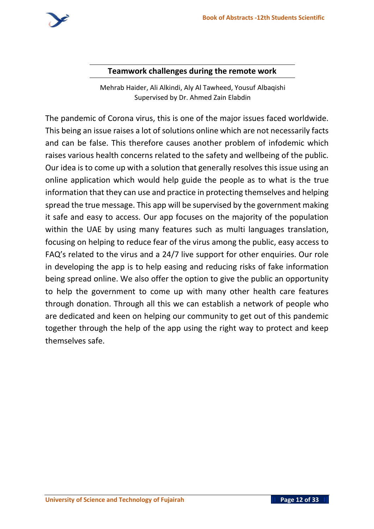

### **Teamwork challenges during the remote work**

Mehrab Haider, Ali Alkindi, Aly Al Tawheed, Yousuf Albaqishi Supervised by Dr. Ahmed Zain Elabdin

The pandemic of Corona virus, this is one of the major issues faced worldwide. This being an issue raises a lot of solutions online which are not necessarily facts and can be false. This therefore causes another problem of infodemic which raises various health concerns related to the safety and wellbeing of the public. Our idea is to come up with a solution that generally resolves this issue using an online application which would help guide the people as to what is the true information that they can use and practice in protecting themselves and helping spread the true message. This app will be supervised by the government making it safe and easy to access. Our app focuses on the majority of the population within the UAE by using many features such as multi languages translation, focusing on helping to reduce fear of the virus among the public, easy access to FAQ's related to the virus and a 24/7 live support for other enquiries. Our role in developing the app is to help easing and reducing risks of fake information being spread online. We also offer the option to give the public an opportunity to help the government to come up with many other health care features through donation. Through all this we can establish a network of people who are dedicated and keen on helping our community to get out of this pandemic together through the help of the app using the right way to protect and keep themselves safe.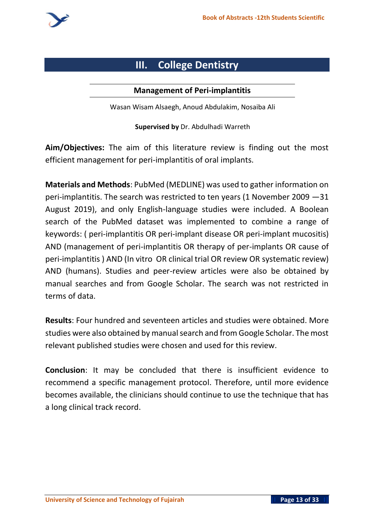

# **III. College Dentistry**

#### **Management of Peri-implantitis**

Wasan Wisam Alsaegh, Anoud Abdulakim, Nosaiba Ali

**Supervised by** Dr. Abdulhadi Warreth

**Aim/Objectives:** The aim of this literature review is finding out the most efficient management for peri-implantitis of oral implants.

**Materials and Methods**: PubMed (MEDLINE) was used to gather information on peri-implantitis. The search was restricted to ten years (1 November 2009 —31 August 2019), and only English-language studies were included. A Boolean search of the PubMed dataset was implemented to combine a range of keywords: ( peri-implantitis OR peri-implant disease OR peri-implant mucositis) AND (management of peri-implantitis OR therapy of per-implants OR cause of peri-implantitis ) AND (In vitro OR clinical trial OR review OR systematic review) AND (humans). Studies and peer-review articles were also be obtained by manual searches and from Google Scholar. The search was not restricted in terms of data.

**Results**: Four hundred and seventeen articles and studies were obtained. More studies were also obtained by manual search and from Google Scholar. The most relevant published studies were chosen and used for this review.

**Conclusion**: It may be concluded that there is insufficient evidence to recommend a specific management protocol. Therefore, until more evidence becomes available, the clinicians should continue to use the technique that has a long clinical track record.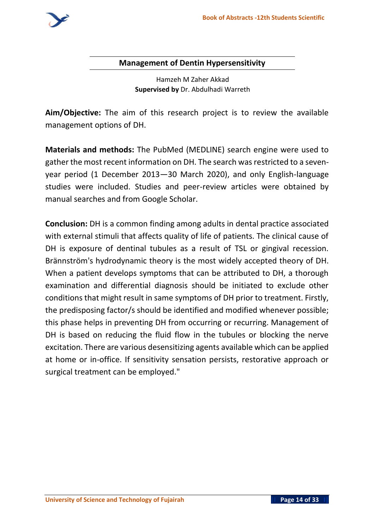

#### **Management of Dentin Hypersensitivity**

Hamzeh M Zaher Akkad **Supervised by** Dr. Abdulhadi Warreth

**Aim/Objective:** The aim of this research project is to review the available management options of DH.

**Materials and methods:** The PubMed (MEDLINE) search engine were used to gather the most recent information on DH. The search was restricted to a sevenyear period (1 December 2013—30 March 2020), and only English-language studies were included. Studies and peer-review articles were obtained by manual searches and from Google Scholar.

**Conclusion:** DH is a common finding among adults in dental practice associated with external stimuli that affects quality of life of patients. The clinical cause of DH is exposure of dentinal tubules as a result of TSL or gingival recession. Brännström's hydrodynamic theory is the most widely accepted theory of DH. When a patient develops symptoms that can be attributed to DH, a thorough examination and differential diagnosis should be initiated to exclude other conditions that might result in same symptoms of DH prior to treatment. Firstly, the predisposing factor/s should be identified and modified whenever possible; this phase helps in preventing DH from occurring or recurring. Management of DH is based on reducing the fluid flow in the tubules or blocking the nerve excitation. There are various desensitizing agents available which can be applied at home or in-office. If sensitivity sensation persists, restorative approach or surgical treatment can be employed."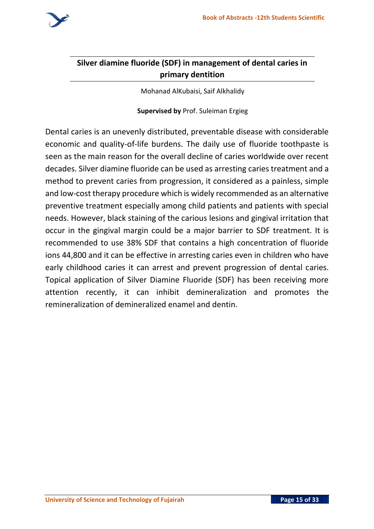

# **Silver diamine fluoride (SDF) in management of dental caries in primary dentition**

Mohanad AlKubaisi, Saif Alkhalidy

#### **Supervised by** Prof. Suleiman Ergieg

Dental caries is an unevenly distributed, preventable disease with considerable economic and quality-of-life burdens. The daily use of fluoride toothpaste is seen as the main reason for the overall decline of caries worldwide over recent decades. Silver diamine fluoride can be used as arresting caries treatment and a method to prevent caries from progression, it considered as a painless, simple and low-cost therapy procedure which is widely recommended as an alternative preventive treatment especially among child patients and patients with special needs. However, black staining of the carious lesions and gingival irritation that occur in the gingival margin could be a major barrier to SDF treatment. It is recommended to use 38% SDF that contains a high concentration of fluoride ions 44,800 and it can be effective in arresting caries even in children who have early childhood caries it can arrest and prevent progression of dental caries. Topical application of Silver Diamine Fluoride (SDF) has been receiving more attention recently, it can inhibit demineralization and promotes the remineralization of demineralized enamel and dentin.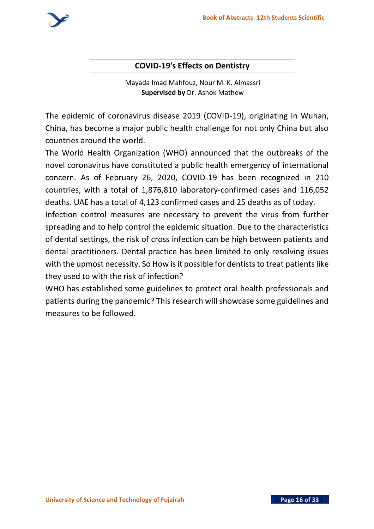

# **COVID-19's Effects on Dentistry**

Mayada Imad Mahfouz, Nour M. K. Almassri **Supervised by** Dr. Ashok Mathew

The epidemic of coronavirus disease 2019 (COVID-19), originating in Wuhan, China, has become a major public health challenge for not only China but also countries around the world.

The World Health Organization (WHO) announced that the outbreaks of the novel coronavirus have constituted a public health emergency of international concern. As of February 26, 2020, COVID-19 has been recognized in 210 countries, with a total of 1,876,810 laboratory-confirmed cases and 116,052 deaths. UAE has a total of 4,123 confirmed cases and 25 deaths as of today.

Infection control measures are necessary to prevent the virus from further spreading and to help control the epidemic situation. Due to the characteristics of dental settings, the risk of cross infection can be high between patients and dental practitioners. Dental practice has been limited to only resolving issues with the upmost necessity. So How is it possible for dentists to treat patients like they used to with the risk of infection?

WHO has established some guidelines to protect oral health professionals and patients during the pandemic? This research will showcase some guidelines and measures to be followed.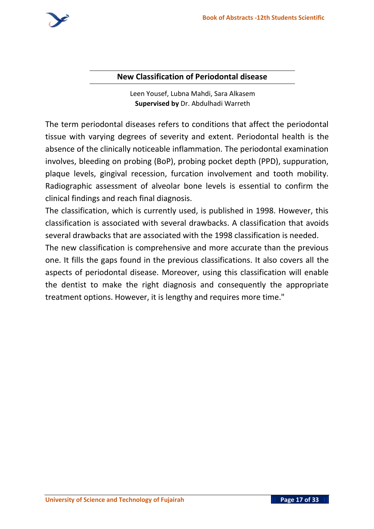

### **New Classification of Periodontal disease**

Leen Yousef, Lubna Mahdi, Sara Alkasem **Supervised by** Dr. Abdulhadi Warreth

The term periodontal diseases refers to conditions that affect the periodontal tissue with varying degrees of severity and extent. Periodontal health is the absence of the clinically noticeable inflammation. The periodontal examination involves, bleeding on probing (BoP), probing pocket depth (PPD), suppuration, plaque levels, gingival recession, furcation involvement and tooth mobility. Radiographic assessment of alveolar bone levels is essential to confirm the clinical findings and reach final diagnosis.

The classification, which is currently used, is published in 1998. However, this classification is associated with several drawbacks. A classification that avoids several drawbacks that are associated with the 1998 classification is needed.

The new classification is comprehensive and more accurate than the previous one. It fills the gaps found in the previous classifications. It also covers all the aspects of periodontal disease. Moreover, using this classification will enable the dentist to make the right diagnosis and consequently the appropriate treatment options. However, it is lengthy and requires more time."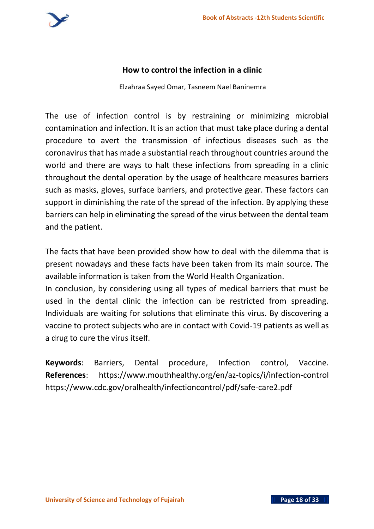

### **How to control the infection in a clinic**

Elzahraa Sayed Omar, Tasneem Nael Baninemra

The use of infection control is by restraining or minimizing microbial contamination and infection. It is an action that must take place during a dental procedure to avert the transmission of infectious diseases such as the coronavirus that has made a substantial reach throughout countries around the world and there are ways to halt these infections from spreading in a clinic throughout the dental operation by the usage of healthcare measures barriers such as masks, gloves, surface barriers, and protective gear. These factors can support in diminishing the rate of the spread of the infection. By applying these barriers can help in eliminating the spread of the virus between the dental team and the patient.

The facts that have been provided show how to deal with the dilemma that is present nowadays and these facts have been taken from its main source. The available information is taken from the World Health Organization.

In conclusion, by considering using all types of medical barriers that must be used in the dental clinic the infection can be restricted from spreading. Individuals are waiting for solutions that eliminate this virus. By discovering a vaccine to protect subjects who are in contact with Covid-19 patients as well as a drug to cure the virus itself.

**Keywords**: Barriers, Dental procedure, Infection control, Vaccine. **References**: https://www.mouthhealthy.org/en/az-topics/i/infection-control https://www.cdc.gov/oralhealth/infectioncontrol/pdf/safe-care2.pdf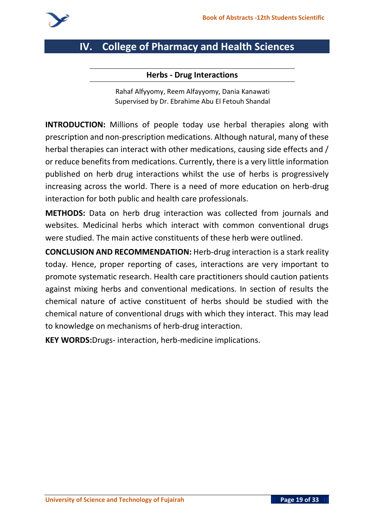

# **IV. College of Pharmacy and Health Sciences**

#### **Herbs - Drug Interactions**

Rahaf Alfyyomy, Reem Alfayyomy, Dania Kanawati Supervised by Dr. Ebrahime Abu El Fetouh Shandal

**INTRODUCTION:** Millions of people today use herbal therapies along with prescription and non-prescription medications. Although natural, many of these herbal therapies can interact with other medications, causing side effects and / or reduce benefits from medications. Currently, there is a very little information published on herb drug interactions whilst the use of herbs is progressively increasing across the world. There is a need of more education on herb-drug interaction for both public and health care professionals.

**METHODS:** Data on herb drug interaction was collected from journals and websites. Medicinal herbs which interact with common conventional drugs were studied. The main active constituents of these herb were outlined.

**CONCLUSION AND RECOMMENDATION:** Herb-drug interaction is a stark reality today. Hence, proper reporting of cases, interactions are very important to promote systematic research. Health care practitioners should caution patients against mixing herbs and conventional medications. In section of results the chemical nature of active constituent of herbs should be studied with the chemical nature of conventional drugs with which they interact. This may lead to knowledge on mechanisms of herb-drug interaction.

**KEY WORDS:**Drugs- interaction, herb-medicine implications.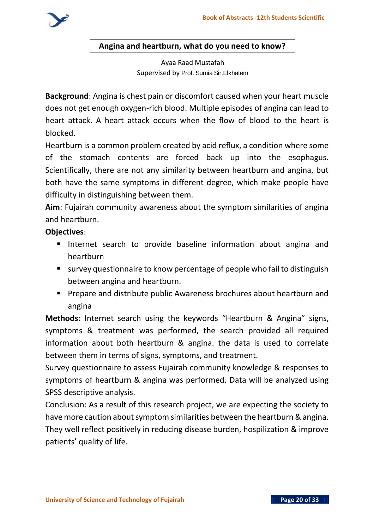### **Angina and heartburn, what do you need to know?**

Ayaa Raad Mustafah Supervised by **Prof. Sumia Sir.Elkhatem**

**Background**: Angina is chest pain or discomfort caused when your heart muscle does not get enough oxygen-rich blood. Multiple episodes of angina can lead to heart attack. A heart attack occurs when the flow of blood to the heart is blocked.

Heartburn is a common problem created by acid reflux, a condition where some of the stomach contents are forced back up into the esophagus. Scientifically, there are not any similarity between heartburn and angina, but both have the same symptoms in different degree, which make people have difficulty in distinguishing between them.

**Aim**: Fujairah community awareness about the symptom similarities of angina and heartburn.

# **Objectives**:

- Internet search to provide baseline information about angina and heartburn
- survey questionnaire to know percentage of people who fail to distinguish between angina and heartburn.
- Prepare and distribute public Awareness brochures about heartburn and angina

**Methods:** Internet search using the keywords "Heartburn & Angina" signs, symptoms & treatment was performed, the search provided all required information about both heartburn & angina. the data is used to correlate between them in terms of signs, symptoms, and treatment.

Survey questionnaire to assess Fujairah community knowledge & responses to symptoms of heartburn & angina was performed. Data will be analyzed using SPSS descriptive analysis.

Conclusion: As a result of this research project, we are expecting the society to have more caution about symptom similarities between the heartburn & angina. They well reflect positively in reducing disease burden, hospilization & improve patients' quality of life.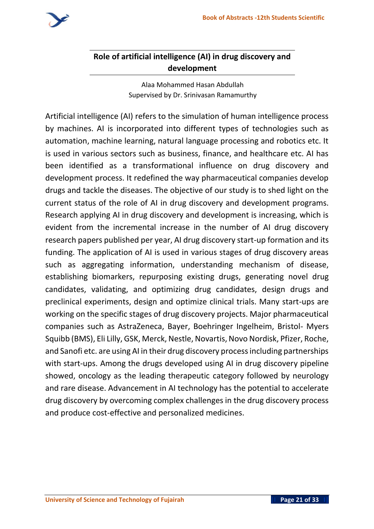

# **Role of artificial intelligence (AI) in drug discovery and development**

Alaa Mohammed Hasan Abdullah Supervised by Dr. Srinivasan Ramamurthy

Artificial intelligence (AI) refers to the simulation of human intelligence process by machines. AI is incorporated into different types of technologies such as automation, machine learning, natural language processing and robotics etc. It is used in various sectors such as business, finance, and healthcare etc. AI has been identified as a transformational influence on drug discovery and development process. It redefined the way pharmaceutical companies develop drugs and tackle the diseases. The objective of our study is to shed light on the current status of the role of AI in drug discovery and development programs. Research applying AI in drug discovery and development is increasing, which is evident from the incremental increase in the number of AI drug discovery research papers published per year, AI drug discovery start-up formation and its funding. The application of AI is used in various stages of drug discovery areas such as aggregating information, understanding mechanism of disease, establishing biomarkers, repurposing existing drugs, generating novel drug candidates, validating, and optimizing drug candidates, design drugs and preclinical experiments, design and optimize clinical trials. Many start-ups are working on the specific stages of drug discovery projects. Major pharmaceutical companies such as AstraZeneca, Bayer, Boehringer Ingelheim, Bristol- Myers Squibb (BMS), Eli Lilly, GSK, Merck, Nestle, Novartis, Novo Nordisk, Pfizer, Roche, and Sanofi etc. are using AI in their drug discovery process including partnerships with start-ups. Among the drugs developed using AI in drug discovery pipeline showed, oncology as the leading therapeutic category followed by neurology and rare disease. Advancement in AI technology has the potential to accelerate drug discovery by overcoming complex challenges in the drug discovery process and produce cost-effective and personalized medicines.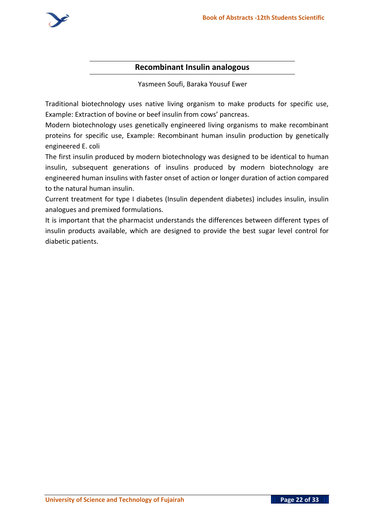

#### **Recombinant Insulin analogous**

Yasmeen Soufi, Baraka Yousuf Ewer

Traditional biotechnology uses native living organism to make products for specific use, Example: Extraction of bovine or beef insulin from cows' pancreas.

Modern biotechnology uses genetically engineered living organisms to make recombinant proteins for specific use, Example: Recombinant human insulin production by genetically engineered E. coli

The first insulin produced by modern biotechnology was designed to be identical to human insulin, subsequent generations of insulins produced by modern biotechnology are engineered human insulins with faster onset of action or longer duration of action compared to the natural human insulin.

Current treatment for type I diabetes (Insulin dependent diabetes) includes insulin, insulin analogues and premixed formulations.

It is important that the pharmacist understands the differences between different types of insulin products available, which are designed to provide the best sugar level control for diabetic patients.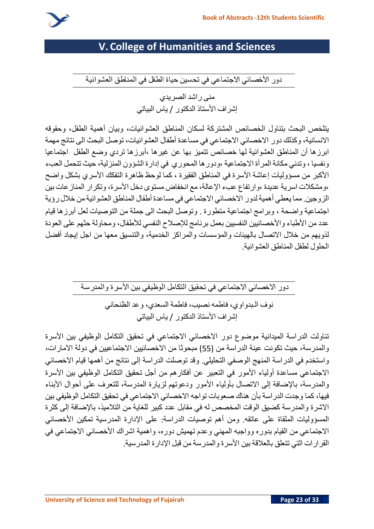

# **V. College of Humanities and Sciences**

**دور األخصائي االجتماعي في تحسين حياة الطفل في المناطق العشوائية** 

**منى راشد الصريدي إشراف األستاذ الدكتور** / **ياس البياتي** 

**يتلخص البحث بتناول الخصائص المشتركة لسكان المناطق العشوائيات، وبيان أهمية الطفل، وحقوقه االنسانية، وكذلك دور االخصائي االجتماعي في مساعدة أطفال العشوائيات ، توصل البحث الى نتائج مهمة ابرزها أن المناطق العشوائية لها خصائص تتميز بها عن غيرها ،أبرزها تردي وضع الطفل اجتماعيا ونفسيا ، وتدني مكانة المرأة االجتماعية ،ودورها المحوري في إدارة الشؤون المنزلية، حيث تتحمل العبء األكبر من مسؤوليات إعاشة األسرة في المناطق الفقيرة ، كما لوحظ ظاهرة التفكك األسري بشكل واضح ،ومشكالت اسرية عديدة ،وارتفاع عبء اإلعالة،مع انخفاض مستوى دخل األسرة، وتكرار المنازعات بين الزوجين**. **مما يعطي أهميةلدور االخصائي االجتماعي في مساعدة أطفال المناطق العشوائيةمن خالل رؤية اجتماعية واضحة ، وبرامج اجتماعية متطورة** . **وتوصل البحث الى جملة من التوصيات لعل أبرزها قيام عدد من األطباء واألخصائيين النفسيين بعمل برنامج لإلصالح النفسي لألطفال، ومحاولة حثهم على العودة لذويهم من خالل االتصال بالهيئات والمؤسسات والمراكز الخدمية، والتنسيق معها من اجل إيجاد أفضل الحلول لطفل المناطق العشوائية** .

> **دور االخصائي االجتماعي في تحقيق التكامل الوظيفي بين األسرة والمدرسة نوف الـبدواوي، فاطمه نص يب ، فاطمة السعدي، وعد الظنحاني إشراف األستاذ الدكتور** / **ياس البياتي**

**تناولت الدراسة الميدانية موضوع دور االخصائي االجتماعي في تحقيق التكامل الوظيفي بين األسرة والمدرسة، حيث تكونت عينة الدراسة من** )55( **مبحوثا من االخصائيين االجتماعيين في دولة االمارات، واستخدم في الدراسة المنهج الوصفي التحليلي**. **وقد توصلت الدراسة إلى نتائج من أهمها قيام االخصائي االجتماعي مساعدة أولياء األمور في التعبير عن أفكارهم من أجل تحقيق التكامل الوظيفي بين األسرة والمدرسة، باإلضافة إلى االتصال بأولياء األمور ودعوتهم لزيارة المدرسة، للتعرف على أحوال األبناء فيها، كما وجدت الدراسة بأن هناك صعوبات تواجه االخصائي االجتماعي في تحقيق التكامل الوظيفي بين االشرة والمدرسة كضيق الوقت المخصص له في مقابل عدد كبير للغاية من التالميذ، باإلضافة إلى كثرة المسؤوليات الملقاة على عاتقه** . **ومن أهم توصيات الدراسة**: **على اإلدارة المدرسية تمكين األخصائي االجتماعي من القيام بدوره وواجبه المهني وعدم تهميش دوره، واهمية اشراك األخصائي االجتماعي في القرارات التي تتعلق بالعالقة بين األسرة والمدرسة من قبل اإلدارة المدرسية**.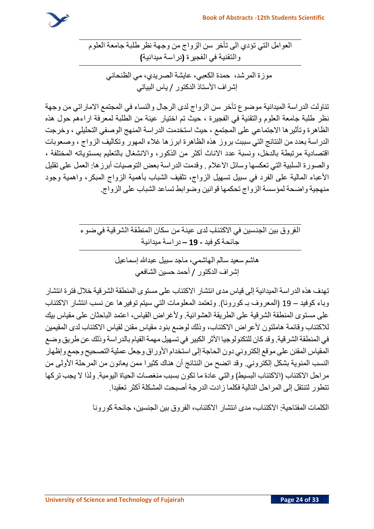

**العوامل التي تؤدي الى تأخر سن الزواج من وجهة نظر طلبة جامعة العلوم والتقنية في الفجيرة )دراسة ميدانية(**

**موزة المرشد ، حمدة الكعبي، عايشة الصريدي، مي الظنحاني إشراف األستاذ الدكتور** / **ياس البياتي** 

**تناولت الدراسة الميدانية موضوع تأخر سن الزواج لدى الرجال والنساء في المجتمع االماراتي من وجهة نظر طلبة جامعة العلوم والتقنية في الفجيرة ، حيث تم اختيار عينة من الطلبة لمعرفة اراءهم حول هذه الظاهرة وتأثيرها االجتماعي على المجتمع ، حيث استخدمت الدراسة المنهج الوصفي التحليلي ، وخرجت الدراسة بعدد من النتائج التي سببت بروز هذه الظاهرة ابرزها غالء المهور وتكاليف الزواج ، وصعوبات اقتصادية مرتبطة بالدخل، ونسبة عدد االناث أكثر من الذكور، واالنشغال بالتعليم بمستوياته المختلفة ، والصورة السلبية التي تعكسها وسائل االعالم** . **وقدمت الدراسة بعض التوصيات أبرزها**: **العمل على تقليل األعباء المالية على الفرد في سبيل تسهيل الزواج، تثقيف الشباب بأهمية الزواج المبكر، واهمية وجود منهجية واضحة لمؤسسة الزواج تحكمها قوانين وضوابط تساعد الشباب على الزواج** .

> **الفروق بين الجنسين في االكتئاب لدى عينة من سكان المنطقة الشرقية في ضوء جائحةكوفيد - 19 – دراسة ميدانية**

> > **هاشم سعيد سالم الهاشمي، ماجد سبيل عبدهللا إسماعيل إشراف الدكتور** / **أحمد حسين الشافعي**

**تهدف هذه الدراسة الميدانية إلى قياس مدى انتشار االكتئاب على مستوى المنطقة الشرقية خالل فترة انتشار وباء كوفيد** – 19 )**المعروف بـ كورونا**(. **وتعتمد المعلومات التي سيتم توفيرها عن نسب انتشار االكتئاب على مستوى المنطقة الشرقية على الطريقة العشوائية** . **وألغراض القياس، اعتمد الباحثان على مقياس بيك لالكتئاب وقائمة هاملتون ألعراض االكتئاب، وذلك لوضع بنود مقياس مقنن لقياس االكتئاب لدى المقيمين في المنطقةالشرقية**. **وقد كان للتكنولوجيا األثر الكبير في تسهيل مهمةالقيام بالدراسة وذلك عن طريق وضع المقياس المقنن على موقع إلكتروني دون الحاجةإلى استخدام األوراق وجعل عمليةالتصحيح وجمع وإظهار النسب المئوية بشكل إلكتروني**. **وقد اتضح من النتائج أن هناك كثيرا ممن يعانون من المرحلة األولى من مراحل االكتئاب** )**االكتئاب البسيط**( **والتي عادة ما تكون بسبب منغصات الحياة اليومية**. **ولذا ال يجب تركها تتطور لتنتقل إلى المراحل التالية فكلما زادت الدرجة أصبحت المشكلة أكثر تعقيدا**.

**الكلمات المفتاحية**: **االكتئاب ، مدى انتشار االكتئاب ، الفروق بين الجنسين، جائحة كورونا**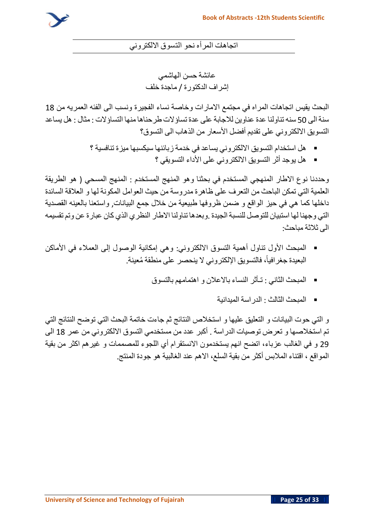

**اتجاهات المرأه نحو التسوق االلكتروني** 

**عائشة حسن الهاشمي إشراف الدكتورة** / **ماجدة خلف**

**البحث يقيس اتجاهات المراه في مجتمع االمارات وخاصة نساء الفجيرة ونسب الى الفئه العمريه من** 18 **سنةالى** 50 **سنه تناولنا عدة عناوين لالجابة على عدة تساؤالت طرحناهامنها التساؤالت** : **مثال** : **هل يساعد التسويق االلكتروني على تقديم أفضل األسعار من الذهاب الى التسوق؟**

- **هل استخدام التسويق االلكتروني يساعد في خدمة زبائنها سيكسبها ميزة تنافسية ؟** 
	- **هل يوجد أثر التسويق االلكتروني على األداء التسويقي ؟**

**وحد دنا نوع االطار المنهجي المستخدم في بحثنا وهو المنهج المستخدم** : **المنهج المسحي** ) **هو الطريقة العلمية التي تمكن الباحث من التعرف على ظاهرة مدروسة من حيث العوامل المكونة لها و العالقة السائدة داخلها كما هي في حيز الواقع و ضمن ظروفها طبيعية من خالل جمع البيانات** , **واستعنا بالعينه القصدية التي وجهنا لها استبيان للتوصل للنسبةالجيدة** .**وبعدها تناولنا االطار النظري الذي كان عبارة عن وتم تقسيمه الى ثالثة مباحث** :

- **المبحث األول تناول أهمية التسوق االلكتروني**: **وهي إمكانية الوصول إلى العمالء في األماكن جغرافيا فالتسو يق اإللكتروني ال ينحصر على منطقة ُمعينة**. **ً البعيدة ،**
	- **المبحث الثاني** : **تـأثر النساء باالعالن و اهتمامهم بالتسوق**
		- **المبحث الثالث** : **الدراسة الميدانية**

**و التي حوت البيانات و التعليق عليها و استخالص النتائج ثم جاءت خاتمة البحث التي توضح النتائج التي تم استخالصها و تعرض توصيات الدراسة** . **أكبر عدد من مستخدمي التسوق االلكتروني من عمر** 18 **الى**  29 **و في الغالب عزباء، اتضح انهم يستخدمون االنستقرام أي اللجوء للمصممات و غيرهم اكثر من بق ي ة المواقع ، اقتناء المالبس أكثر من بقية السلع، االهم عند الغالبية هو جودة المنتج** .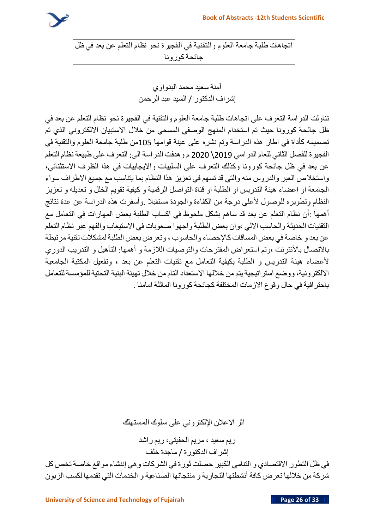

**اتجاهات طلبة جامعة العلوم والتقنية في الفجيرة نحو نظام التعلم عن بعد في ظل جائحةكورونا**

> **آمنة سعيد محمد البدواوي إشراف الدكتور** / **السيد عبد الرحمن**

**تناولت الدراسة التعرف على اتجاهات طلبة جامعة العلوم والتقنية في الفجيرة نحو نظام التعلم عن بعد في ظل جائحة كورونا حيث تم استخدام المنهج الوصفي المسحي من خالل االستبيان االلكتروني الذي تم تصميمه كأداة في اطار هذه الدراسة وتم نشره على عينة قوامها** 105**من طلبة جامعة العلوم والتقنية في الفجيرة للفصل الثاني للعام الدراسي** 2019\ 2020 **م وهدفت الدراسة الى**: **التعرف على طبيعة نظام التعلم عن بعد في ظل جائحة كورونا وكذلك التعرف على السلبيات وااليجابيات في هذا الظرف االستثنائي، واستخالص العبر والدروس منه والتي قد تسهم في تعزيز هذا النظام بما يتناسب مع جميع االطراف سواء**  الجامعة او اعضاء هيئة التدريس او الطلبة او قناة التواصل الرقمية و كيفية تقويم الخلل و تعديله و تعزيز **النظام وتطويره للوصول ألعلى درجة من الكفاءة والجودة مستقبال** .**وأسفرت هذه الدراسة عن عدة نتائج أهمها** :**أن نظام التعلم عن بعد قد ساهم بشكل ملحوظ في اكساب الطلبة بعض المهارات في التعامل مع التقنيات الحديثة والحاسب االلي ،وان بعض الطلبة واجهوا صعوبات في االستيعاب والفهم عبر نظام التعلم عن بعد و خاصةفي بعض المساقات كاإلحصاء والحاسوب ، وتعرض بعض الطلبةلمشكالت تقنيةمرتبطة باالتصال باألنترنت ،وتم استعراض المقترحات والتوصيات الالزمة و أهمها**: **التأهيل و التدريب الدوري ألعضاء هيئة التدريس و الطلبة بكيفية التعامل مع تقنيات التعلم عن بعد ، وتفعيل المكتبة الجامعية االلكترونية، ووضع استراتيجية يتممن خاللها االستعداد التاممن خالل تهيئة البنية التحتية للمؤسسة للتعامل باحترافية في حال وقوع االزمات المختلفة كجائحة كورونا الماثلة امامنا** .

**اثر االعالن اإللكتروني على سلوك المستهلك** 

**ريم سعيد ، مريم الحفيتي، ريم راشد إشراف الدكتورة** / **ماجدة خلف**

**في ظل التطور االقتصادي و التنامي الكبير حصلت ثورة في الشركات وهي إننشاء مواقع خاصة تخص كل شركة من خاللها تعرض كافة أنشطتها التجارية و منتجاتها الصناعية و الخدمات التي تقدمها لكسب الزبون**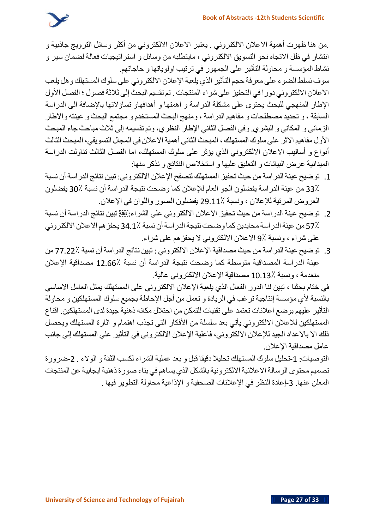

.**من هنا ظهرت أهمية االعالن االلكتروني** . **يعتبر االعالن االلكتروني من أكثر وسائل الترويج جاذبية و انتشار في ظل االتجاه نحو التسويق االلكتروني ، مايتطلبه من وسائل و استراتيجيات فعالة لضمان سير و نشاط المؤسسة و محاولة التأثير على الجمهور في ترتيب اولوياتها و حاجاتهم**.

**سوف نسلط الضوء على معرفة حجم التأثير الذي يلعبة اإلعالن االلكتروني على سلوك المستهلك وهل يلعب االعالن االلكتروني دورا في التحفيز على شراء المنتجات** . **تم تقسيم البحث إلى ثالثةفصول ؛ الفصل األول اإلطار المنهجي للبحث يحتوى على مشكلة الدراسة و اهمتها و أهدافهاو تساؤالتها باإلضافة الى الدراسة السابقة ، و تحديد مصطلحات و مفاهيم الدراسة ، ومنهج البحث المستخدم و مجتمع البحث و عينته واالطار الزماني و المكاني و البشري** . **وفي الفصل الثاني اإلطار النظري، وتم تقسيمه إلى ثالث مباحث جاء المبحث األول مفاهيم االثر على سلوك المستهلك ، المبحث الثاني أهميةاالعالن في المجال التسويقي، المبحث الثالث أنواع و أساليب االعالن االلكتروني الذي يؤثر على سلوك المستهلك، اما الفصل الثالث تناولت الدراسة الميدانية عرض البيانات و التعليق عليها و استخالص النتائج و نذكر منها**:

- .1 **توضيح عينة الدراسة من حيث تحفيز المستهلك لتصفح اإلعالن االلكتروني**: **تبين نتائج الدراسة أن نسبة**  33**٪ من عينة الدراسة يفضلون الجو العام لإلعالن كما وضحت نتيجة الدراسة أن نسبة** 30**٪ يفضلون العروض المرئية لإلعالن ، ونسبة** 29.11**٪ يفضلون الصور واللوان في اإلعالن**.
- .2 **توضيح عينة الدراسة من حيث تحفيز االعالن االلكتروني على الشراء**: **تبين نتائج الدراسة أن نسبة**  57**٪ من عينةالدراسةمحايدين كما وضحت نتيجةالدراسةأن نسبة** 34.1**٪ يحفزهم االعالن االلكتروني على شراء ، ونسبة** 9**٪ االعالن االلكتروني ال يحفزهم على شراء**.
- .3 **توضيح عينة الدراسة من حيث مصداقية اإلعالن االلكتروني** : **تبين نتائج الدراسة أن نسبة** 77.22**٪ من عينة الدراسة المصداقية متوسطة كما وضحت نتيجة الدراسة أن نسبة** 12.66**٪ مصداقية اإلعالن منعدمة ، ونسبة** 10.13**٪ مصداقية اإلعالن االلكتروني عالية** .

**في ختام بحثنا ، تبين ل نا الدور الفعال الذي يلعبة اإلعالن االلكتروني على المستهلك يمثل العامل االساسي بالنسبة ألي مؤسسة إنتاجية ترغب في الريادة و تعمل من أجل اإلحاطة بجميع سلوك المستهلكين و محاولة التأثير عليهم بوضع اعالنات تعتمد على تقنيات للتمكن من احتالل مكانه ذهنية جيدة لدى المستهلكين**. **اقناع المستهلكين لالعالن االلكتروني يأتي بعد سلسلة من األفكار التى تجذب اهتمام و اثارة المستهلك ويحصل ذلك اال باالعداد الجيد لإلعالن االلكتروني، فاعلية اإلعالن االلكتروني في التأثير علي المستهلك إلى جانب عامل مصداقية اإلعالن** .

**التوصيات** : -1**تحليل سلوك المستهلك تحليال دقيقا قبل و بعد عملية الشراء لكسب الثقة و الوالء** . -2**ضرورة تصميممحتوى الرسالة االعالنية االلكترونية بالشكل الذي يساهم في بناء صورة ذهنية ايجابية عن المنتجات المعلن عنها** . -3**إعادة النظر في اإلعالنات الصحفية و اإلذاعية محاولة التطوير فيها** .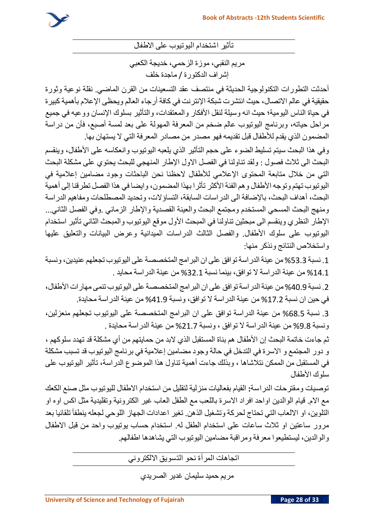

**تأثير اشتخدام اليوتيوب على االطفال**

**مريم النقبي، موزة الزحمي، خديجة الكعبي إشراف الدكتورة** / **ماجدة خلف**

**أحدثت التطورات التكنولوجية الحديثة في منتصف عقد التسعينات من القرن الماضي**. **نقلة نوعية وثورة حقيقية في عالم االتصال، حيث انتشرت شبكة اإلنترنت في كافة أرجاء العالم ويحظى اإلعالم بأهمية كبيرة في حياة الناس اليومية؛ حيث انه وسيلة لنقل األفكار والمعتقدات، والتأثير بسلوك اإلنسان ووعيه في جميع مراحل حياته، وبرنامج اليوتيوب عالم ضخم من المعرفة المهولة على بعد لمسة أصبع، فأن من دراسة المضمون الذي يقدم لألطفال قبل تقديمه فهو مصدر من مصادر المعرفة التي ال يستهان بها** .

**وفي هذا البحث سيتم تسليط الضوء على حجم التأثير الذي يلعبه اليوتيوب وانعكاسه على األطفال، وينقسم البحث الى ثالث فصول** : **ولقد تناولنا في الفصل االول اإلطار المنهجي للبحث يحتوي على مشكلة البحث التي من خالل متابعة المحتوى اإلعالمي لألطفال الحظنا نحن الباحثات وجود مضامين إعالمية في اليوتيوب تهتم وتوجه األطفال وهم الفئة األكثر تأثرا بهذا المضمون، وايضا في هذا الفصل تطرقنا إلى أهمية البحث، أهداف البحث، باإلضافة الى الدراسات السابقة، التساؤالت، وتحديد المصطلحات ومفاهيم الدراسة ومنهج البحث المسحي المستخدم ومجتمع البحث والعينة القصدية واإلطار الزماني** .**وفي الفصل الثاني**... **اإلطار النظري وينقسم الى مبحثين تناولنا في المبحث األول موقع اليوتيوب والمبحث الثاني تأثير استخدام اليوتيوب على سلوك األطفال**. **والفصل الثالث الدراسات الميدانية وعرض البيانات والتعليق عليها واستخالص النتائج ونذكر منها**:

.1 **نسبة** %53.3 **من عينةالدراسةتوافق على ان البرامج المتخصصة على اليوتيوب تجعلهم عنيدين، ونسبة**  %14.1 **من عينة الدراسة ال توافق، بينما نسبة** %32.1 **من عينة الدراسة محايد** .

.2 **نسبة** %40.9 **من عينةالدراسةتوافق على ان البرامج المتخصصة على اليوتيوب تنمى مهارات األطفال، في حين ان نسبة** %17.2 **من عينة الدراسة ال توافق، ونسبة** %41.9 **من عينة الدراسة محايدة**.

.3 **نسبة** %68.5 **من عينة الدراسة توافق على ان البرامج المتخصصة على اليوتيوب تجعلهم منعزلين، ونسبة** %9.8 **من عينة الدراسة ال توافق ، ونسبة** %21.7 **من عينة الدراسة محايدة** .

**ثم جاءت خاتمة البحث إن األطفال هم بناة المستقبل الذي البد من حمايتهم من أي مشكلة قد تهدد سلوكهم ، و دور المجتمع و االسرة في التدخل في حالة وجود مضامين إعالمية في برنامج اليوتيوب قد تسبب مشكلة في المستقبل من الممكن نتالشاها ، وبذلك جاءت أهمية تناول هذا الموضوع الدراسة، تأثير اليوتيوب على سلوك األطفال**

**توصيات ومقترحات الدراسة: القيام بفعاليات منزلية لتقليل من استخدام االطفال لليوتيوب مثل صنع الكعك مع االم** . **قيام الوالدين اواحد افراد االسرة باللعب مع الطفل العاب غير الكترونية وتقليدية مثل اكس اوه او التلوين، او االلعاب التي تحتاج لحركة وتشغيل الذهن**. **تغير اعدادات الجهاز اللوحي لجعله ينطفأ تلقائيا بعد مرور ساعتين او ثالث ساعات على استخدام الطفل له**. **استخدام حساب يوتيوب واحد من قبل االطفال والوالدين، ليستطيعوا معرفة ومراقبة مضامين اليوتيوب التي يشاهدها اطفالهم** .

**اتجاهات المرأة نحو التسويق االلكتروني** 

**مريم حميد سليمان غدير الصريدي**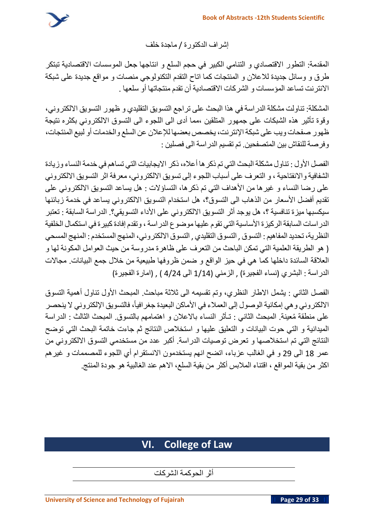

**إشراف الدكتورة** / **ماجدة خلف**

**المقدمة**: **التطور االقتصادي و التنامي الكبير في حجم السلع و انتاجها جعل الموسسات االقتصادية تبتكر طرق و وسائل جديدة لالعالن و المنتجات كما اتاح التقدم التكنولوجي منصات و مواقع جديدة على شبكة االنترنت تساعد المؤسسات و الشركات االقتصادية أن تقدم منتجاتها أو سلعها** .

**المشكلة**: **تناولت مشكلة الدراسة في هذا البحث على تراجع التسويق التقليدي و ظهور التسويق االلكتروني، وقوة تأثير هذه الشبكات على جمهور المتلقين ،مما أدى الى اللجوء الى التسوق االلكتروني بكثره نتيجة ظهور صفحات ويب على شبكةاإلنترنت، يخصص بعضها لإلعالن عن السلع والخدمات أو لبيع المنتجات، وفرصة للنقاش بين المتصفحين** . **تم تقسيم الدراسة الى فصلين** :

**الفصل األول** : **تناول مشكلةالبحث التي تم ذكرها أعاله، ذكر االيجابيات التي تساهم في خدمة النساء وزيادة الشفافية واالنفتاحية ، و التعرف على أسباب اللجوء إلى تسويق االلكتروني، معرفة اثر التسويق االلكتروني على رضا النساء و غيرها من األهداف التي تم ذكرها، التساؤالت** : **هل يساعد التسويق االلكتروني على تقديم أفضل األسعار من الذهاب الى التسوق؟، هل استخدام التسويق االلكتروني يساعد في خدمة زبائنها سيكسبها ميزة تنافسية ؟، هل يوجد أثر التسويق االلكتروني على األداء التسويقي ؟**. **الدراسة السابقة** : **تعتبر الدراسات السابقةالركيزة األساسيةالتي تقوم عليهاموضوع الدراسة، وتقدم إفادةكبيرة في استكمال الخلفية النظرية، تحديد المفاهيم**: **التسوق** , **التسوق التقليدي** , **التسوق االلكتروني، المنهج المستخدم**: **المنهج المسحي** ) **هو الطريقة العلمية التي تمكن الباحث من التعرف على ظاهرة مدروسة من حيث العوامل المكونة لها و العالقة السائدة داخلها كما هي في حيز الواقع و ضمن ظروفها طبيعية من خالل جمع البيانات** . **مجاالت الدراسة** : **البشري** )**نساء الفجيرة**( , **الزمني** )1/14 **الى** 4/24 ( , )**امارة الفجيرة**(

**الفصل الثاني** : **يشمل االطار النظري، وتم تقسيمه الى ثالثة مباحث** . **المبحث األول تناول أهمية التسوق**  الالكتروني و هي إمكانية الوصول إلى العملاء في الأماكن البعيدة جغر افياً، فالتسويق الإلكتروني لا ينحصر **على منطقة ُمعينة**. **المبحث الثاني** : **تـأثر النساء باالعالن و اهتمامهم بالتسوق** . **المبحث الثالث** : **الدراسة الميدانية و التي حوت البيانات و التعليق عليها و استخالص النتائج ثم جاءت خاتمة البحث التي توضح النتائج التي تم استخالصها و تعرض توصيات الدراسة**. **أكبر عدد من مستخدمي التسوق االلكتروني من عمر** 18 **الى** 29 **و في الغالب عزباء، اتضح انهم يستخدمون االنستقرام أي اللجوء للمصممات و غيرهم اكثر من بق ية المواقع ، اقتناء المالبس أكثر من بقية السلع ، االهم عند الغالبية هو جودة المنتج** .

# **VI. College of Law**

**أثر الحوكمة الشركات**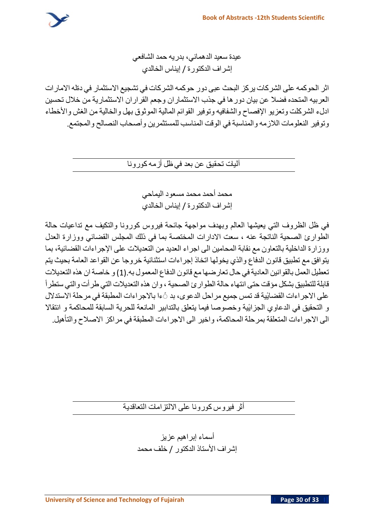

**عيدة سعيد الدهماني، بدريه حمد الشافعي إشراف الدكتورة** / **إيناس الخالدي**

**اثر الحوكمه على الشركات يركز البحث عبى دور حوكمه الشركات في تشجيع االستثمار في دةله االمارات العربيه المتحده فضال عن بيان دورها في جذب االستثماران وجعم القراران االستثمارية من خالل تحسين ادلء الشركلت وتعزيو اإلفصاح والشفافيه وتوفير القوائم المالية الموثوق بهل والخالية من الغش واألخطاء وتوفير النعلومات الالزمه والمناسبة في الوقت المناسب للمستثمرين وأصحاب النصالح والمجتمع**.

**آليات تحقيق عن بعد في ظل أزمهكورونا** 

**محمد أحمد محمد مسعود اليماحي إشراف الدكتورة** / **إيناس الخالدي**

**في ظل الظروف التي يعيشها العالم وبهدف مواجهة جائحة فيروس كورونا والتكيف مع تداعيات حالة الطوارئ الصحية الناتجة عنه ، سعت االدارات المختصة بما في ذلك المجلس القضائي ووزارة العدل ووزارة الداخلية بالتعاون مع نقابة المحامين الى اجراء العديد من التعديالت على اإلجراءات القضائية، بما يتوافق مع تطبيق قانون الدفاع والذي يخولها اتخاذ إجراءات استثنائية خروجا عن القواعد العامة بحيث يتم تعطيل العمل بالقوانين العاديةفي حال تعارضهامع قانون الدفاع المعمول به**.)1( **و خاصةان هذه التعديالت قابلةللتطبيق بشكل مؤقت حتى انتهاء حالةالطوارئ الصحية، وان هذه التعديالت التي طرأت والتي ستطرأ ٔية قد تمس جميع مراحل الدعوى، بد ًًءا باالجراءات المطبقة في مرحلة االستدالل على االجراءات القضاي ٔية وخصوصا فيما يتعلق بالتدابير المانعة للحرية السابقة للمحاكمة و انتقاال و التحقيق في الدعاوي الجزاي الى االجراءات المتعلقة بمرحلة المحاكمة، واخير الى االجراءات المطبقة في مراكز االصالح والتأهيل**.

**أثر فيروس كورونا على االلتزامات التعاقدية** 

**أسماء إبراهيم عزيز إشراف األستاذ الدكتور** / **خلف محمد**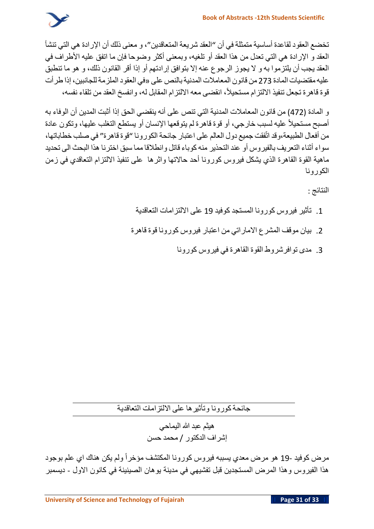

**تخضع العقود لقاعدة أساسية متمثلة في أن** "**العقد شريعة المتعاقدين**"**، و معنى ذلك أن اإلرادة هي التي تنشأ العقد و اإلرادة هي التي تعدل من هذا العقد أو تلغيه، وبمعنى أكثر وضوحا فإن ما اتفق عليه األطراف في**  العقد يجب أن يلتز موا به و لا يجوز الرجوع عنه إلا بتوافق إرادتهم أو إذا أقر القانون ذلك، و هو ما تنطبق **عليهمقتضيات المادة** 273 **من قانون المعامالت المدنيةبالنص على** »**في العقود الملزمةللجانبين، إذا طرأت قوة قاهرة تجعل تنفيذ االلتزام مستحيال،ً انقضى معه االلتزام المقابل له، وانفسخ العقد من تلقاء نفسه،**

**و المادة** )472( **من قانون المعامالت المدنية التي تنص على أنه ينقضي الحق إذا أثبت المدين أن الوفاء به مستحيالً عليه لسبب خارجي، أو قوة قاهرة لم يتوقعها اإلنسان أو يستطع التغلب عليها، وتكون عادة أصبح من أفعال الطبيعة،وقد اتّفقت جميع دول العالم على اعتبار جائحة الكورونا** "**قوة قاهرة**" **في صلب خطاباتها، سواء أثناء التعريف بالفيروس أو عند التحذير منهكوباء قاتل وانطالقامما سبق اخترنا هذا البحث الى تحديد ماهية القوة القاهرة الذي يشكل فيروس كورونا أحد حاالتها واثرها على تنفيذ االلتزام التعاقدي في زمن الكورونا** 

**النتائج** :

- .1 **تأثير فيروس كورونا المستجد كوفيد** 19 **على االلتزامات التعاقدية**
- .2 **بيان موقف المشرع االماراتي من اعتبار فيروس كورونا قوة قاهرة**
	- .3 **مدى توافرشروط القوة القاهرة في فيروس كورونا**

**جائحةكورونا وتأثيرها على االلتزامات التعاقدية** 

**هيثم عبد هللا اليماحي إشراف الدكتور** / **محمد حسن** 

**مرض كوفيد** 19- **هو مرض معدي يسببه فيروس كورونا المكتشف مؤخراً ولم يكن هناك اي علم بوجود هذا الفيروس وهذا المرض المستجدين قبل تفشيهي في مدينة يوهان الصينينة في كانون االول** - **ديسمبر**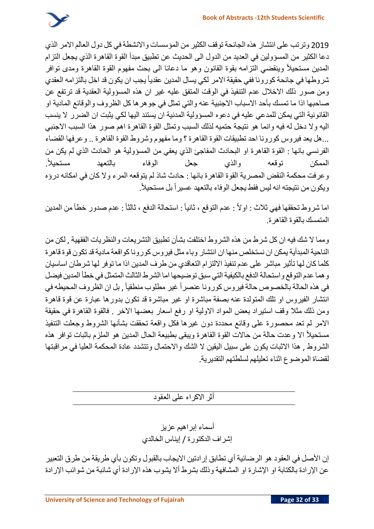

2019 **وترتب على انتشار هذه الجائحة توقف الكثير من المؤسسات واالنشطة في كل دول العالم االمر الذي دعا الكثير من المسؤولين في العديد من الدول الى الحديث عن تطبيق مبدأ القوة القاهرة الذي يجعل التزام مستحيالً وينقضي التزامه بقوة القانون وهو ما دعانا الى بحث مفهوم القوة القاهرة ومدى توافر المدين شروطها في جائحة كورونا ففي حقيقة االمر لكي يسال المدين عقدياً يجب ان يكون قد اخل بالتزامه العقدي ومن صور ذلك االخالل عدم التنفيذ في الوقت المتفق عليه غير ان هذه المسؤولية العقدية قد ترتفع عن صاحبها اذا ما تمسك بأحد االسباب االجنبية عنه والتي تمثل في جوهرها كل الظروف والوقائع المادية او القانونية التي يمكن للمدعي عليه في دعوه المسؤولية المدنية ان يستند اليها لكي يثبت ان الضرر ال ينسب اليه وال دخل له فيه وانما هو نتيجة حتميه لذلك السبب وتمثل القوة القاهرة اهم صور هذا السبب االجنبي**  ...**هل يعد فيروس كورونا احد تطبيقات القوة القاهرة ؟ وما مفهوم وشروط القوة القاهرة** .. **وعرفها القضاء الفرنسي بانها** : **القوة القاهرة او البحادث المفاجئ الذي يعفي من المسؤولية هو الحادث الذي لم يكن من**  . **الممكن توقعه والذي جعل الوفاء بالتعهد مستحيالً وعرفت محكمة النقض المصرية القوة القاهرة بانها** : **حادث شاذ لم يتوقعه المرء وال كان في امكانه درؤه**  . **ويكون من نتيجته انه ليس فقط يجعل الوفاء بالتعهد عسيراً بل مستحيالً**

اما شروط تحققها فهي ثلاث : او لأ : عدم التوقع ، ثانياً : استحالة الدفع ، ثالثاً : عدم صدور خطأ من المدين **المتمسك بالقوة القاهرة**.

**ومما ال شك فيه ان كل شرط من هذه الشروط اختلفت بشأن تطبيق التشريعات والنظريات الفقهية** , **لكن من الناحية المبدأية يمكن ان نستخلص منها ان انتشار وباء مثل فيروس كوروناكواقعة مادية قد تكون قوة قاهرة كلما كان لها تأثير مباشر على عدم تنفيذ االلتزام التعاقدي من طرف المدين اذا ما توفر لها شرطان اساسيان وهما عدم التوقع واستحالةالدفع بالكيفيةالتي سبق توضيحها اما الشرط الثالث المتمثل في خطأ المدين فيضل**  , **بل ان الظروف المحيطه في في هذه الحالة بالخصوص حالة فيروس كورونا عنصراً غير مطلوب منطقياً انتشار الفيروس او تلك المتولدة عنه بصفة مباشرة او غير مباشرة قد تكون بدورها عبارة عن قوة قاهرة ومن ذلك مثال وقف استيراد بعض المواد االولية او رفع اسعار بعضها االخر** . **فالقوة القاهرة في حقيقة االمر لم تعد محصورة على وقائع محددة دون غيرها فكل واقعة تحققت بشأنها الشروط وجعلت التنفيذ مستحيالً اال وعدت حالة من حاالت القوة القاهرة ويبقى بطبيعة الحال المدين هو الملزم باثبات توافر هذه الشروط** , **هذا االثبات يكون على سبيل اليقين ال الشك واالحتمال وتتشدد عادة المحكمة العليا في مراقبتها لقضاة الموضوع اثناء تعليلهم لسلطتهم التقديرية** .

**أثر االكراه على العقود** 

**أسماء إبراهيم عزيز إشراف الدكتورة** / **إيناس الخالدي**

**إن األصل في العقود هو الرضائية أي تطابق إرادتين االيجاب بالقبول وتكون بأي طريقة من طرق التعبير عن اإلرادة بالكتابة او اإلشارة او المشافهة وذلك بشرط أال يشوب هذه اإلرادة أي شائبة من شوائب اإلرادة**